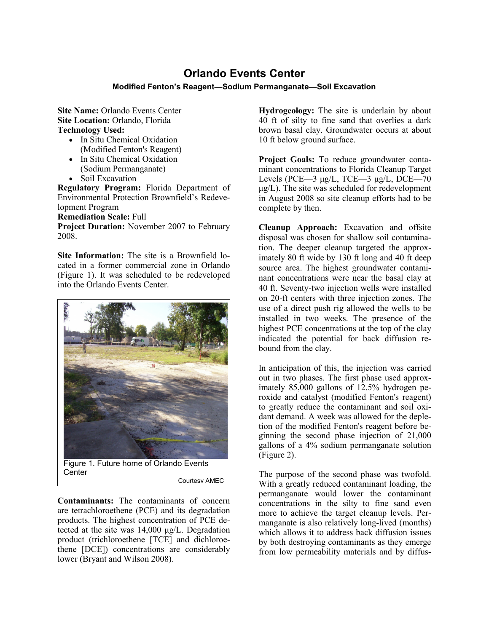## **Orlando Events Center**

## **Modified Fenton's Reagent—Sodium Permanganate—Soil Excavation**

**Site Name:** Orlando Events Center **Site Location:** Orlando, Florida **Technology Used:**

- In Situ Chemical Oxidation (Modified Fenton's Reagent)
- In Situ Chemical Oxidation (Sodium Permanganate)
- Soil Excavation

**Regulatory Program:** Florida Department of Environmental Protection Brownfield's Redevelopment Program

**Remediation Scale:** Full

**Project Duration:** November 2007 to February 2008.

**Site Information:** The site is a Brownfield located in a former commercial zone in Orlando (Figure 1). It was scheduled to be redeveloped into the Orlando Events Center.



**Contaminants:** The contaminants of concern are tetrachloroethene (PCE) and its degradation products. The highest concentration of PCE detected at the site was 14,000 μg/L. Degradation product (trichloroethene [TCE] and dichloroethene [DCE]) concentrations are considerably lower (Bryant and Wilson 2008).

**Hydrogeology:** The site is underlain by about 40 ft of silty to fine sand that overlies a dark brown basal clay. Groundwater occurs at about 10 ft below ground surface.

**Project Goals:** To reduce groundwater contaminant concentrations to Florida Cleanup Target Levels (PCE—3  $\mu$ g/L, TCE—3  $\mu$ g/L, DCE—70  $\mu$ g/L). The site was scheduled for redevelopment in August 2008 so site cleanup efforts had to be complete by then.

**Cleanup Approach:** Excavation and offsite disposal was chosen for shallow soil contamination. The deeper cleanup targeted the approximately 80 ft wide by 130 ft long and 40 ft deep source area. The highest groundwater contaminant concentrations were near the basal clay at 40 ft. Seventy-two injection wells were installed on 20-ft centers with three injection zones. The use of a direct push rig allowed the wells to be installed in two weeks. The presence of the highest PCE concentrations at the top of the clay indicated the potential for back diffusion rebound from the clay.

In anticipation of this, the injection was carried out in two phases. The first phase used approximately 85,000 gallons of 12.5% hydrogen peroxide and catalyst (modified Fenton's reagent) to greatly reduce the contaminant and soil oxidant demand. A week was allowed for the depletion of the modified Fenton's reagent before beginning the second phase injection of 21,000 gallons of a 4% sodium permanganate solution (Figure 2).

The purpose of the second phase was twofold. With a greatly reduced contaminant loading, the permanganate would lower the contaminant concentrations in the silty to fine sand even more to achieve the target cleanup levels. Permanganate is also relatively long-lived (months) which allows it to address back diffusion issues by both destroying contaminants as they emerge from low permeability materials and by diffus